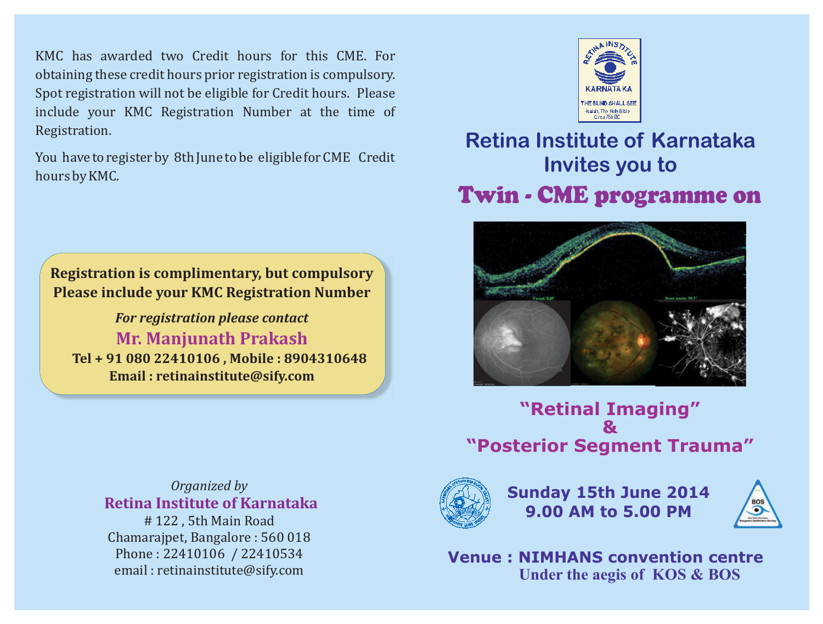KMC has awarded two Credit hours for this CME. For obtaining these credit hours prior registration is compulsory. Spot registration will not be eligible for Credit hours. Please include your KMC Registration Number at the time of Registration.

You have to register by 8th June to be eligible for CME Credit hours by KMC.



*For registration please contact*  **Tel + 91 080 22410106 , Mobile : 8904310648 Email : retinainstitute@sify.com Mr. Manjunath Prakash**

# Hasiah, The Holy Bible

## **Retina Institute of Karnataka Invites you to**  Twin - CME programme on



**"Retinal Imaging" & "Posterior Segment Trauma"**

**Sunday 15th June 2014 9.00 AM to 5.00 PM**



**Venue : NIMHANS convention centre Under the aegis of KOS & BOS** 

## *Organized by*   **Retina Institute of Karnataka**

# 122 , 5th Main Road Chamarajpet, Bangalore : 560 018 Phone : 22410106 / 22410534 email : retinainstitute@sify.com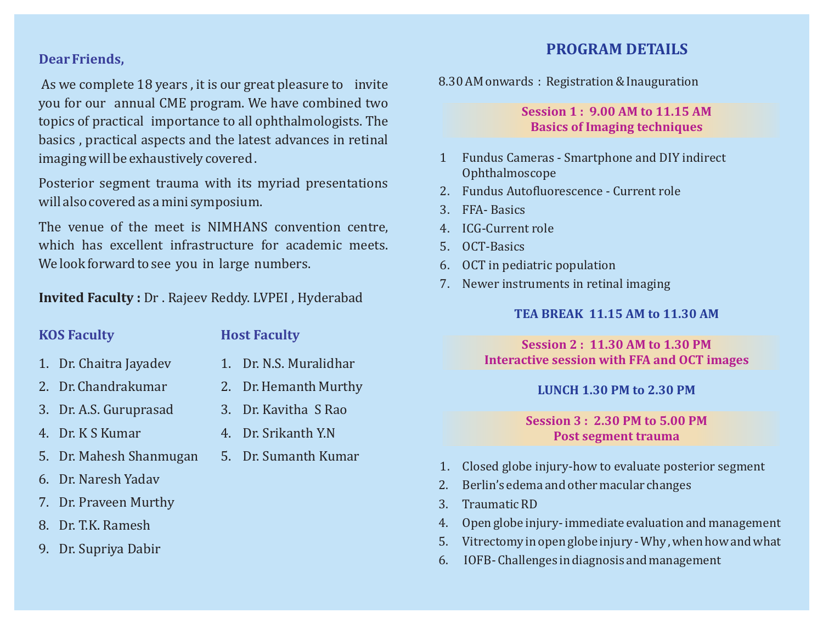#### **Dear Friends,**

As we complete 18 years , it is our great pleasure to invite you for our annual CME program. We have combined two topics of practical importance to all ophthalmologists. The basics , practical aspects and the latest advances in retinal imaging will be exhaustively covered .

Posterior segment trauma with its myriad presentations will also covered as a mini symposium.

The venue of the meet is NIMHANS convention centre, which has excellent infrastructure for academic meets. We look forward to see you in large numbers.

**Invited Faculty :** Dr . Rajeev Reddy. LVPEI , Hyderabad

#### **KOS Faculty Host Faculty**

- 
- 
- 
- 
- 5. Dr. Mahesh Shanmugan 5. Dr. Sumanth Kumar
- 6. Dr. Naresh Yadav
- 7. Dr. Praveen Murthy
- 8. Dr. T.K. Ramesh
- 9. Dr. Supriya Dabir
- 
- 1. Dr. Chaitra Jayadev 1. Dr. N.S. Muralidhar
- 2. Dr. Chandrakumar 2. Dr. Hemanth Murthy
- 3. Dr. A.S. Guruprasad 3. Dr. Kavitha S Rao
- 4. Dr. K S Kumar 4. Dr. Srikanth Y.N
	-

### **PROGRAM DETAILS**

8.30 AM onwards : Registration & Inauguration

#### **Session 1 : 9.00 AM to 11.15 AM Basics of Imaging techniques**

- 1 Fundus Cameras Smartphone and DIY indirect Ophthalmoscope
- 2. Fundus Autofluorescence Current role
- 3. FFA- Basics
- 4. ICG-Current role
- 5. OCT-Basics
- 6. OCT in pediatric population
- 7. Newer instruments in retinal imaging

#### **TEA BREAK 11.15 AM to 11.30 AM**

#### **Session 2 : 11.30 AM to 1.30 PM Interactive session with FFA and OCT images**

#### **LUNCH 1.30 PM to 2.30 PM**

#### **Session 3 : 2.30 PM to 5.00 PM Post segment trauma**

- 1. Closed globe injury-how to evaluate posterior segment
- 2. Berlin's edema and other macular changes
- 3. Traumatic RD
- 4. Open globe injury- immediate evaluation and management
- 5. Vitrectomy in open globe injury Why , when how and what
- 6. IOFB- Challenges in diagnosis and management